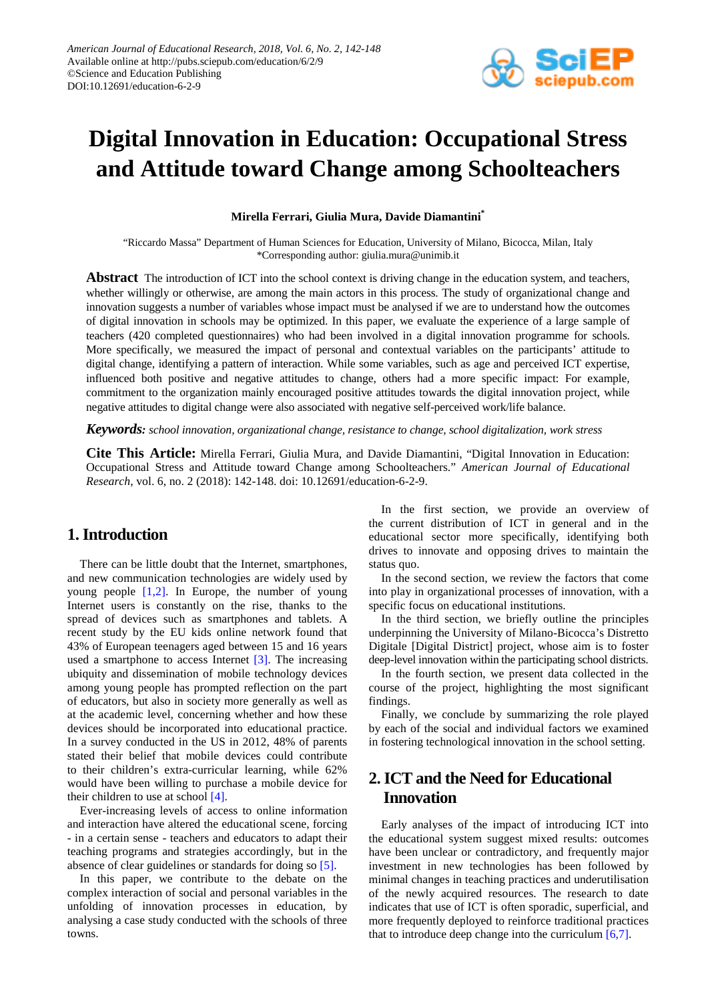

# **Digital Innovation in Education: Occupational Stress and Attitude toward Change among Schoolteachers**

**Mirella Ferrari, Giulia Mura, Davide Diamantini\***

"Riccardo Massa" Department of Human Sciences for Education, University of Milano, Bicocca, Milan, Italy \*Corresponding author: giulia.mura@unimib.it

**Abstract** The introduction of ICT into the school context is driving change in the education system, and teachers, whether willingly or otherwise, are among the main actors in this process. The study of organizational change and innovation suggests a number of variables whose impact must be analysed if we are to understand how the outcomes of digital innovation in schools may be optimized. In this paper, we evaluate the experience of a large sample of teachers (420 completed questionnaires) who had been involved in a digital innovation programme for schools. More specifically, we measured the impact of personal and contextual variables on the participants' attitude to digital change, identifying a pattern of interaction. While some variables, such as age and perceived ICT expertise, influenced both positive and negative attitudes to change, others had a more specific impact: For example, commitment to the organization mainly encouraged positive attitudes towards the digital innovation project, while negative attitudes to digital change were also associated with negative self-perceived work/life balance.

*Keywords: school innovation, organizational change, resistance to change, school digitalization, work stress*

**Cite This Article:** Mirella Ferrari, Giulia Mura, and Davide Diamantini, "Digital Innovation in Education: Occupational Stress and Attitude toward Change among Schoolteachers." *American Journal of Educational Research*, vol. 6, no. 2 (2018): 142-148. doi: 10.12691/education-6-2-9.

# **1. Introduction**

There can be little doubt that the Internet, smartphones, and new communication technologies are widely used by young people  $[1,2]$ . In Europe, the number of young Internet users is constantly on the rise, thanks to the spread of devices such as smartphones and tablets. A recent study by the EU kids online network found that 43% of European teenagers aged between 15 and 16 years used a smartphone to access Internet [\[3\].](#page-5-1) The increasing ubiquity and dissemination of mobile technology devices among young people has prompted reflection on the part of educators, but also in society more generally as well as at the academic level, concerning whether and how these devices should be incorporated into educational practice. In a survey conducted in the US in 2012, 48% of parents stated their belief that mobile devices could contribute to their children's extra-curricular learning, while 62% would have been willing to purchase a mobile device for their children to use at school [\[4\].](#page-5-2)

Ever-increasing levels of access to online information and interaction have altered the educational scene, forcing - in a certain sense - teachers and educators to adapt their teaching programs and strategies accordingly, but in the absence of clear guidelines or standards for doing so [\[5\].](#page-5-3)

In this paper, we contribute to the debate on the complex interaction of social and personal variables in the unfolding of innovation processes in education, by analysing a case study conducted with the schools of three towns.

In the first section, we provide an overview of the current distribution of ICT in general and in the educational sector more specifically, identifying both drives to innovate and opposing drives to maintain the status quo.

In the second section, we review the factors that come into play in organizational processes of innovation, with a specific focus on educational institutions.

In the third section, we briefly outline the principles underpinning the University of Milano-Bicocca's Distretto Digitale [Digital District] project, whose aim is to foster deep-level innovation within the participating school districts.

In the fourth section, we present data collected in the course of the project, highlighting the most significant findings.

Finally, we conclude by summarizing the role played by each of the social and individual factors we examined in fostering technological innovation in the school setting.

# **2. ICT and the Need for Educational Innovation**

Early analyses of the impact of introducing ICT into the educational system suggest mixed results: outcomes have been unclear or contradictory, and frequently major investment in new technologies has been followed by minimal changes in teaching practices and underutilisation of the newly acquired resources. The research to date indicates that use of ICT is often sporadic, superficial, and more frequently deployed to reinforce traditional practices that to introduce deep change into the curriculum  $[6,7]$ .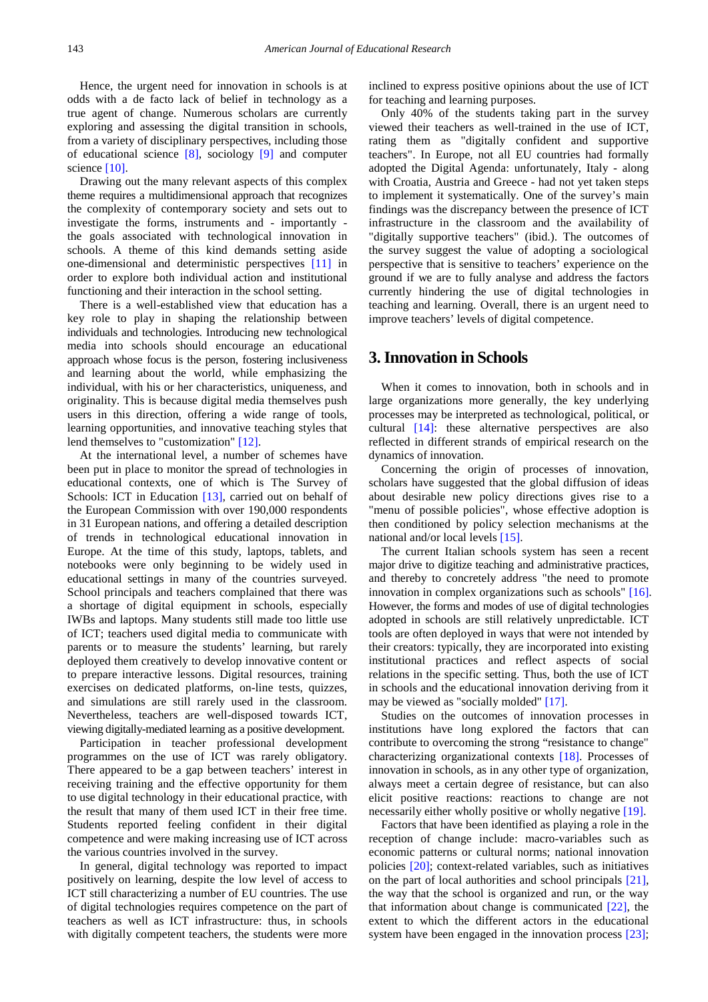Hence, the urgent need for innovation in schools is at odds with a de facto lack of belief in technology as a true agent of change. Numerous scholars are currently exploring and assessing the digital transition in schools, from a variety of disciplinary perspectives, including those of educational science [\[8\],](#page-6-0) sociology [\[9\]](#page-6-1) and computer science [\[10\].](#page-6-2)

Drawing out the many relevant aspects of this complex theme requires a multidimensional approach that recognizes the complexity of contemporary society and sets out to investigate the forms, instruments and - importantly the goals associated with technological innovation in schools. A theme of this kind demands setting aside one-dimensional and deterministic perspectives [\[11\]](#page-6-3) in order to explore both individual action and institutional functioning and their interaction in the school setting.

There is a well-established view that education has a key role to play in shaping the relationship between individuals and technologies. Introducing new technological media into schools should encourage an educational approach whose focus is the person, fostering inclusiveness and learning about the world, while emphasizing the individual, with his or her characteristics, uniqueness, and originality. This is because digital media themselves push users in this direction, offering a wide range of tools, learning opportunities, and innovative teaching styles that lend themselves to "customization" [\[12\].](#page-6-4)

At the international level, a number of schemes have been put in place to monitor the spread of technologies in educational contexts, one of which is The Survey of Schools: ICT in Education [\[13\],](#page-6-5) carried out on behalf of the European Commission with over 190,000 respondents in 31 European nations, and offering a detailed description of trends in technological educational innovation in Europe. At the time of this study, laptops, tablets, and notebooks were only beginning to be widely used in educational settings in many of the countries surveyed. School principals and teachers complained that there was a shortage of digital equipment in schools, especially IWBs and laptops. Many students still made too little use of ICT; teachers used digital media to communicate with parents or to measure the students' learning, but rarely deployed them creatively to develop innovative content or to prepare interactive lessons. Digital resources, training exercises on dedicated platforms, on-line tests, quizzes, and simulations are still rarely used in the classroom. Nevertheless, teachers are well-disposed towards ICT, viewing digitally-mediated learning as a positive development.

Participation in teacher professional development programmes on the use of ICT was rarely obligatory. There appeared to be a gap between teachers' interest in receiving training and the effective opportunity for them to use digital technology in their educational practice, with the result that many of them used ICT in their free time. Students reported feeling confident in their digital competence and were making increasing use of ICT across the various countries involved in the survey.

In general, digital technology was reported to impact positively on learning, despite the low level of access to ICT still characterizing a number of EU countries. The use of digital technologies requires competence on the part of teachers as well as ICT infrastructure: thus, in schools with digitally competent teachers, the students were more

inclined to express positive opinions about the use of ICT for teaching and learning purposes.

Only 40% of the students taking part in the survey viewed their teachers as well-trained in the use of ICT, rating them as "digitally confident and supportive teachers". In Europe, not all EU countries had formally adopted the Digital Agenda: unfortunately, Italy - along with Croatia, Austria and Greece - had not yet taken steps to implement it systematically. One of the survey's main findings was the discrepancy between the presence of ICT infrastructure in the classroom and the availability of "digitally supportive teachers" (ibid.). The outcomes of the survey suggest the value of adopting a sociological perspective that is sensitive to teachers' experience on the ground if we are to fully analyse and address the factors currently hindering the use of digital technologies in teaching and learning. Overall, there is an urgent need to improve teachers' levels of digital competence.

## **3. Innovation in Schools**

When it comes to innovation, both in schools and in large organizations more generally, the key underlying processes may be interpreted as technological, political, or cultural [\[14\]:](#page-6-6) these alternative perspectives are also reflected in different strands of empirical research on the dynamics of innovation.

Concerning the origin of processes of innovation, scholars have suggested that the global diffusion of ideas about desirable new policy directions gives rise to a "menu of possible policies", whose effective adoption is then conditioned by policy selection mechanisms at the national and/or local levels [\[15\].](#page-6-7)

The current Italian schools system has seen a recent major drive to digitize teaching and administrative practices, and thereby to concretely address "the need to promote innovation in complex organizations such as schools" [\[16\].](#page-6-8) However, the forms and modes of use of digital technologies adopted in schools are still relatively unpredictable. ICT tools are often deployed in ways that were not intended by their creators: typically, they are incorporated into existing institutional practices and reflect aspects of social relations in the specific setting. Thus, both the use of ICT in schools and the educational innovation deriving from it may be viewed as "socially molded" [\[17\].](#page-6-9)

Studies on the outcomes of innovation processes in institutions have long explored the factors that can contribute to overcoming the strong "resistance to change" characterizing organizational contexts [\[18\].](#page-6-10) Processes of innovation in schools, as in any other type of organization, always meet a certain degree of resistance, but can also elicit positive reactions: reactions to change are not necessarily either wholly positive or wholly negative [\[19\].](#page-6-11)

Factors that have been identified as playing a role in the reception of change include: macro-variables such as economic patterns or cultural norms; national innovation policies [\[20\];](#page-6-12) context-related variables, such as initiatives on the part of local authorities and school principals [\[21\],](#page-6-13) the way that the school is organized and run, or the way that information about change is communicated  $[22]$ , the extent to which the different actors in the educational system have been engaged in the innovation process [\[23\];](#page-6-15)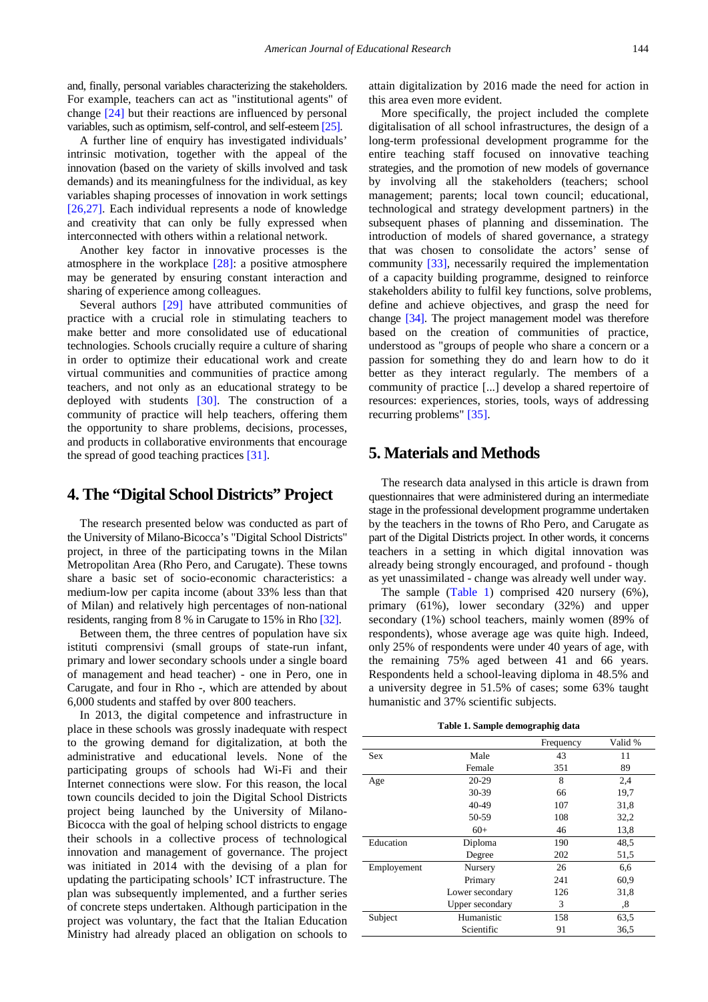and, finally, personal variables characterizing the stakeholders. For example, teachers can act as "institutional agents" of change [\[24\]](#page-6-16) but their reactions are influenced by personal variables, such as optimism, self-control, and self-estee[m \[25\].](#page-6-17)

A further line of enquiry has investigated individuals' intrinsic motivation, together with the appeal of the innovation (based on the variety of skills involved and task demands) and its meaningfulness for the individual, as key variables shaping processes of innovation in work settings [\[26,27\].](#page-6-18) Each individual represents a node of knowledge and creativity that can only be fully expressed when interconnected with others within a relational network.

Another key factor in innovative processes is the atmosphere in the workplace [\[28\]:](#page-6-19) a positive atmosphere may be generated by ensuring constant interaction and sharing of experience among colleagues.

Several authors [\[29\]](#page-6-20) have attributed communities of practice with a crucial role in stimulating teachers to make better and more consolidated use of educational technologies. Schools crucially require a culture of sharing in order to optimize their educational work and create virtual communities and communities of practice among teachers, and not only as an educational strategy to be deployed with students [\[30\].](#page-6-21) The construction of a community of practice will help teachers, offering them the opportunity to share problems, decisions, processes, and products in collaborative environments that encourage the spread of good teaching practices [\[31\].](#page-6-22)

## **4. The "Digital School Districts" Project**

The research presented below was conducted as part of the University of Milano-Bicocca's "Digital School Districts" project, in three of the participating towns in the Milan Metropolitan Area (Rho Pero, and Carugate). These towns share a basic set of socio-economic characteristics: a medium-low per capita income (about 33% less than that of Milan) and relatively high percentages of non-national residents, ranging from 8 % in Carugate to 15% in Rho [\[32\].](#page-6-23)

Between them, the three centres of population have six istituti comprensivi (small groups of state-run infant, primary and lower secondary schools under a single board of management and head teacher) - one in Pero, one in Carugate, and four in Rho -, which are attended by about 6,000 students and staffed by over 800 teachers.

In 2013, the digital competence and infrastructure in place in these schools was grossly inadequate with respect to the growing demand for digitalization, at both the administrative and educational levels. None of the participating groups of schools had Wi-Fi and their Internet connections were slow. For this reason, the local town councils decided to join the Digital School Districts project being launched by the University of Milano-Bicocca with the goal of helping school districts to engage their schools in a collective process of technological innovation and management of governance. The project was initiated in 2014 with the devising of a plan for updating the participating schools' ICT infrastructure. The plan was subsequently implemented, and a further series of concrete steps undertaken. Although participation in the project was voluntary, the fact that the Italian Education Ministry had already placed an obligation on schools to

attain digitalization by 2016 made the need for action in this area even more evident.

More specifically, the project included the complete digitalisation of all school infrastructures, the design of a long-term professional development programme for the entire teaching staff focused on innovative teaching strategies, and the promotion of new models of governance by involving all the stakeholders (teachers; school management; parents; local town council; educational, technological and strategy development partners) in the subsequent phases of planning and dissemination. The introduction of models of shared governance, a strategy that was chosen to consolidate the actors' sense of community [\[33\],](#page-6-24) necessarily required the implementation of a capacity building programme, designed to reinforce stakeholders ability to fulfil key functions, solve problems, define and achieve objectives, and grasp the need for change [\[34\].](#page-6-25) The project management model was therefore based on the creation of communities of practice, understood as "groups of people who share a concern or a passion for something they do and learn how to do it better as they interact regularly. The members of a community of practice [...] develop a shared repertoire of resources: experiences, stories, tools, ways of addressing recurring problems" [\[35\].](#page-6-26)

## **5. Materials and Methods**

The research data analysed in this article is drawn from questionnaires that were administered during an intermediate stage in the professional development programme undertaken by the teachers in the towns of Rho Pero, and Carugate as part of the Digital Districts project. In other words, it concerns teachers in a setting in which digital innovation was already being strongly encouraged, and profound - though as yet unassimilated - change was already well under way.

The sample [\(Table 1\)](#page-2-0) comprised 420 nursery (6%), primary (61%), lower secondary (32%) and upper secondary (1%) school teachers, mainly women (89% of respondents), whose average age was quite high. Indeed, only 25% of respondents were under 40 years of age, with the remaining 75% aged between 41 and 66 years. Respondents held a school-leaving diploma in 48.5% and a university degree in 51.5% of cases; some 63% taught humanistic and 37% scientific subjects.

**Table 1. Sample demographig data**

<span id="page-2-0"></span>

|             |                 | Frequency | Valid % |
|-------------|-----------------|-----------|---------|
| Sex         | Male            | 43        | 11      |
|             | Female          | 351       | 89      |
| Age         | 20-29           | 8         | 2,4     |
|             | 30-39           | 66        | 19,7    |
|             | 40-49           | 107       | 31,8    |
|             | 50-59           | 108       | 32,2    |
|             | $60+$           | 46        | 13,8    |
| Education   | Diploma         | 190       | 48.5    |
|             | Degree          | 202       | 51,5    |
| Employement | Nursery         | 26        | 6,6     |
|             | Primary         | 241       | 60,9    |
|             | Lower secondary | 126       | 31,8    |
|             | Upper secondary | 3         | ,8      |
| Subject     | Humanistic      | 158       | 63,5    |
|             | Scientific      | 91        | 36,5    |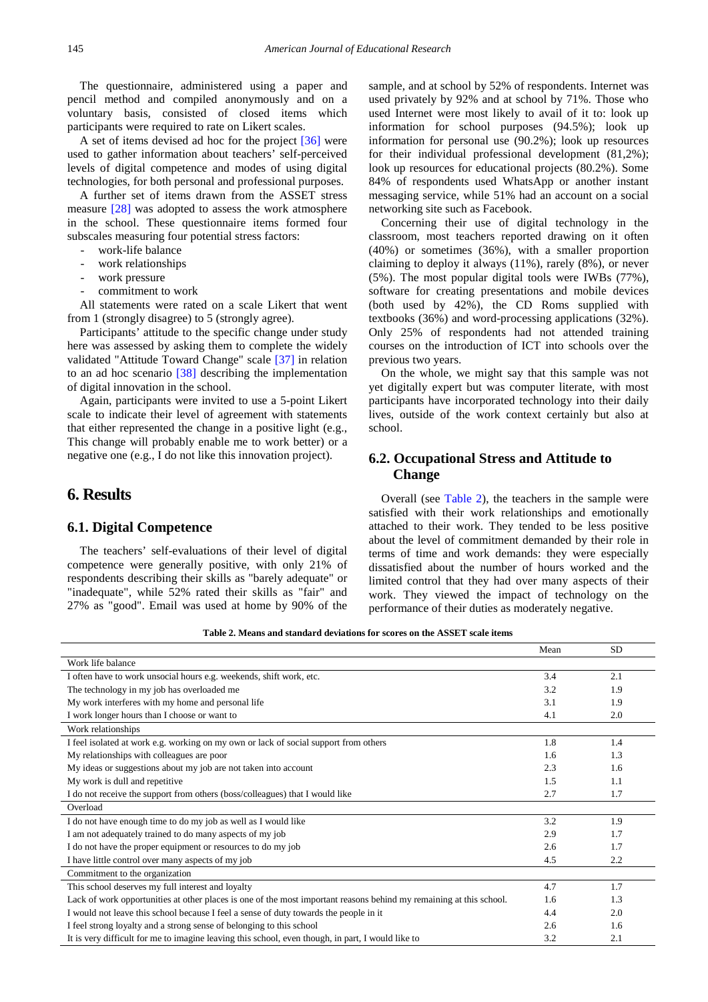The questionnaire, administered using a paper and pencil method and compiled anonymously and on a voluntary basis, consisted of closed items which participants were required to rate on Likert scales.

A set of items devised ad hoc for the project [\[36\]](#page-6-27) were used to gather information about teachers' self-perceived levels of digital competence and modes of using digital technologies, for both personal and professional purposes.

A further set of items drawn from the ASSET stress measure [\[28\]](#page-6-19) was adopted to assess the work atmosphere in the school. These questionnaire items formed four subscales measuring four potential stress factors:

- work-life balance
- work relationships
- work pressure
- commitment to work

All statements were rated on a scale Likert that went from 1 (strongly disagree) to 5 (strongly agree).

Participants' attitude to the specific change under study here was assessed by asking them to complete the widely validated "Attitude Toward Change" scale [\[37\]](#page-6-28) in relation to an ad hoc scenario [\[38\]](#page-6-29) describing the implementation of digital innovation in the school.

Again, participants were invited to use a 5-point Likert scale to indicate their level of agreement with statements that either represented the change in a positive light (e.g., This change will probably enable me to work better) or a negative one (e.g., I do not like this innovation project).

## **6. Results**

#### **6.1. Digital Competence**

The teachers' self-evaluations of their level of digital competence were generally positive, with only 21% of respondents describing their skills as "barely adequate" or "inadequate", while 52% rated their skills as "fair" and 27% as "good". Email was used at home by 90% of the sample, and at school by 52% of respondents. Internet was used privately by 92% and at school by 71%. Those who used Internet were most likely to avail of it to: look up information for school purposes (94.5%); look up information for personal use (90.2%); look up resources for their individual professional development (81,2%); look up resources for educational projects (80.2%). Some 84% of respondents used WhatsApp or another instant messaging service, while 51% had an account on a social networking site such as Facebook.

Concerning their use of digital technology in the classroom, most teachers reported drawing on it often (40%) or sometimes (36%), with a smaller proportion claiming to deploy it always (11%), rarely (8%), or never (5%). The most popular digital tools were IWBs (77%), software for creating presentations and mobile devices (both used by 42%), the CD Roms supplied with textbooks (36%) and word-processing applications (32%). Only 25% of respondents had not attended training courses on the introduction of ICT into schools over the previous two years.

On the whole, we might say that this sample was not yet digitally expert but was computer literate, with most participants have incorporated technology into their daily lives, outside of the work context certainly but also at school.

## **6.2. Occupational Stress and Attitude to Change**

Overall (see [Table 2\)](#page-3-0), the teachers in the sample were satisfied with their work relationships and emotionally attached to their work. They tended to be less positive about the level of commitment demanded by their role in terms of time and work demands: they were especially dissatisfied about the number of hours worked and the limited control that they had over many aspects of their work. They viewed the impact of technology on the performance of their duties as moderately negative.

**Table 2. Means and standard deviations for scores on the ASSET scale items**

<span id="page-3-0"></span>

|                                                                                                                     | Mean | <b>SD</b> |
|---------------------------------------------------------------------------------------------------------------------|------|-----------|
| Work life balance                                                                                                   |      |           |
| I often have to work unsocial hours e.g. weekends, shift work, etc.                                                 | 3.4  | 2.1       |
| The technology in my job has overloaded me                                                                          | 3.2  | 1.9       |
| My work interferes with my home and personal life                                                                   | 3.1  | 1.9       |
| I work longer hours than I choose or want to                                                                        | 4.1  | 2.0       |
| Work relationships                                                                                                  |      |           |
| I feel isolated at work e.g. working on my own or lack of social support from others                                | 1.8  | 1.4       |
| My relationships with colleagues are poor                                                                           | 1.6  | 1.3       |
| My ideas or suggestions about my job are not taken into account                                                     | 2.3  | 1.6       |
| My work is dull and repetitive                                                                                      | 1.5  | 1.1       |
| I do not receive the support from others (boss/colleagues) that I would like                                        | 2.7  | 1.7       |
| Overload                                                                                                            |      |           |
| I do not have enough time to do my job as well as I would like                                                      | 3.2  | 1.9       |
| I am not adequately trained to do many aspects of my job                                                            | 2.9  | 1.7       |
| I do not have the proper equipment or resources to do my job                                                        | 2.6  | 1.7       |
| I have little control over many aspects of my job                                                                   | 4.5  | 2.2       |
| Commitment to the organization                                                                                      |      |           |
| This school deserves my full interest and loyalty                                                                   | 4.7  | 1.7       |
| Lack of work opportunities at other places is one of the most important reasons behind my remaining at this school. | 1.6  | 1.3       |
| I would not leave this school because I feel a sense of duty towards the people in it                               | 4.4  | 2.0       |
| I feel strong loyalty and a strong sense of belonging to this school                                                | 2.6  | 1.6       |
| It is very difficult for me to imagine leaving this school, even though, in part, I would like to                   | 3.2  | 2.1       |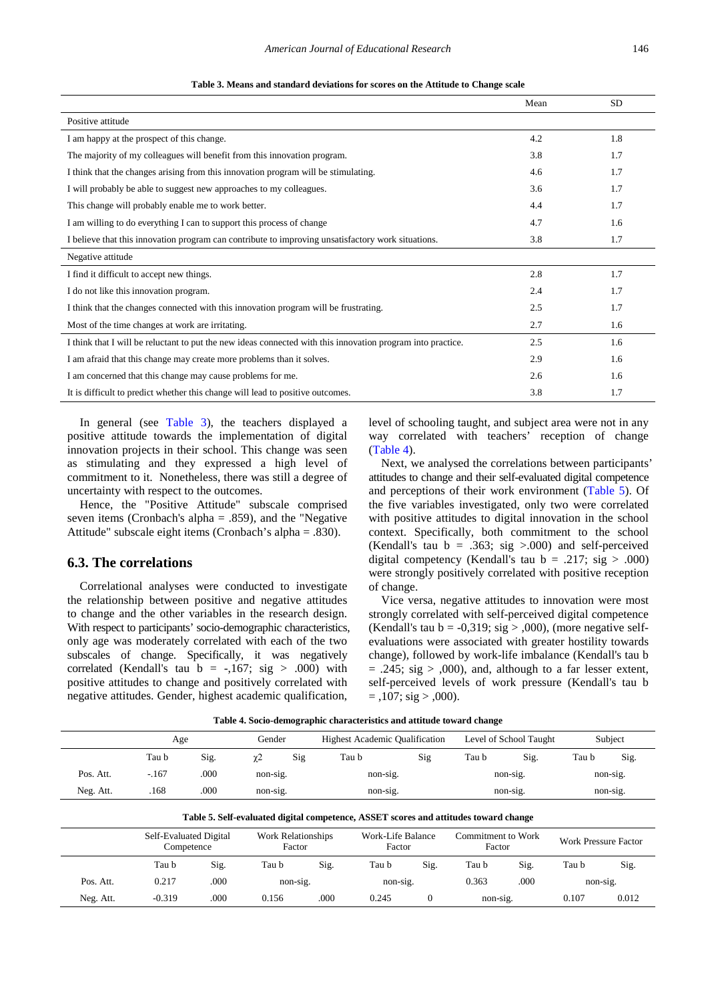<span id="page-4-0"></span>

|                                                                                                             | Mean | <b>SD</b> |
|-------------------------------------------------------------------------------------------------------------|------|-----------|
| Positive attitude                                                                                           |      |           |
| I am happy at the prospect of this change.                                                                  | 4.2  | 1.8       |
| The majority of my colleagues will benefit from this innovation program.                                    | 3.8  | 1.7       |
| I think that the changes arising from this innovation program will be stimulating.                          | 4.6  | 1.7       |
| I will probably be able to suggest new approaches to my colleagues.                                         | 3.6  | 1.7       |
| This change will probably enable me to work better.                                                         | 4.4  | 1.7       |
| I am willing to do everything I can to support this process of change                                       | 4.7  | 1.6       |
| I believe that this innovation program can contribute to improving unsatisfactory work situations.          | 3.8  | 1.7       |
| Negative attitude                                                                                           |      |           |
| I find it difficult to accept new things.                                                                   | 2.8  | 1.7       |
| I do not like this innovation program.                                                                      | 2.4  | 1.7       |
| I think that the changes connected with this innovation program will be frustrating.                        | 2.5  | 1.7       |
| Most of the time changes at work are irritating.                                                            | 2.7  | 1.6       |
| I think that I will be reluctant to put the new ideas connected with this innovation program into practice. | 2.5  | 1.6       |
| I am afraid that this change may create more problems than it solves.                                       | 2.9  | 1.6       |
| I am concerned that this change may cause problems for me.                                                  | 2.6  | 1.6       |
| It is difficult to predict whether this change will lead to positive outcomes.                              | 3.8  | 1.7       |

| Table 3. Means and standard deviations for scores on the Attitude to Change scale |  |
|-----------------------------------------------------------------------------------|--|
|-----------------------------------------------------------------------------------|--|

In general (see [Table 3\)](#page-4-0), the teachers displayed a positive attitude towards the implementation of digital innovation projects in their school. This change was seen as stimulating and they expressed a high level of commitment to it. Nonetheless, there was still a degree of uncertainty with respect to the outcomes.

Hence, the "Positive Attitude" subscale comprised seven items (Cronbach's alpha = .859), and the "Negative Attitude" subscale eight items (Cronbach's alpha = .830).

### **6.3. The correlations**

Correlational analyses were conducted to investigate the relationship between positive and negative attitudes to change and the other variables in the research design. With respect to participants' socio-demographic characteristics, only age was moderately correlated with each of the two subscales of change. Specifically, it was negatively correlated (Kendall's tau  $b = -167$ ; sig > .000) with positive attitudes to change and positively correlated with negative attitudes. Gender, highest academic qualification,

level of schooling taught, and subject area were not in any way correlated with teachers' reception of change [\(Table 4\)](#page-4-1).

Next, we analysed the correlations between participants' attitudes to change and their self-evaluated digital competence and perceptions of their work environment [\(Table 5\)](#page-4-2). Of the five variables investigated, only two were correlated with positive attitudes to digital innovation in the school context. Specifically, both commitment to the school (Kendall's tau  $b = .363$ ; sig >.000) and self-perceived digital competency (Kendall's tau  $b = .217$ ; sig  $> .000$ ) were strongly positively correlated with positive reception of change.

Vice versa, negative attitudes to innovation were most strongly correlated with self-perceived digital competence (Kendall's tau  $b = -0.319$ ; sig >  $,000$ ), (more negative selfevaluations were associated with greater hostility towards change), followed by work-life imbalance (Kendall's tau b  $= .245$ ; sig  $> 0.000$ , and, although to a far lesser extent, self-perceived levels of work pressure (Kendall's tau b  $=$ ,107; sig  $>$ ,000).

| Table 4. Socio-demographic characteristics and attitude toward change |  |  |
|-----------------------------------------------------------------------|--|--|
|-----------------------------------------------------------------------|--|--|

<span id="page-4-1"></span>

|                                                                                      | Age     |      | Gender          |  | <b>Highest Academic Qualification</b> |     |          | Level of School Taught | Subject  |      |
|--------------------------------------------------------------------------------------|---------|------|-----------------|--|---------------------------------------|-----|----------|------------------------|----------|------|
|                                                                                      | Tau b   | Sig. | Sig<br>$\chi$ 2 |  | Tau b                                 | Sig |          | Sig.<br>Tau b          |          | Sig. |
| Pos. Att.                                                                            | $-.167$ | .000 | $non-sig.$      |  | non-sig.                              |     | non-sig. |                        | non-sig. |      |
| Neg. Att.                                                                            | .168    | .000 | non-sig.        |  | non-sig.                              |     | non-sig. |                        | non-sig. |      |
| Table 5. Self-evaluated digital competence, ASSET scores and attitudes toward change |         |      |                 |  |                                       |     |          |                        |          |      |

<span id="page-4-2"></span>

|           | Self-Evaluated Digital<br>Competence |      | Work Relationships<br>Factor |      | Work-Life Balance<br>Factor |      | Commitment to Work<br>Factor |      | <b>Work Pressure Factor</b> |       |
|-----------|--------------------------------------|------|------------------------------|------|-----------------------------|------|------------------------------|------|-----------------------------|-------|
|           | Tau b                                | Sig. | Tau b                        | Sig. | Tau b                       | Sig. | Tau b                        | Sig. | Tau b                       | Sig.  |
| Pos. Att. | 0.217                                | .000 | non-sig.                     |      | non-sig.                    |      | 0.363                        | .000 | non-sig.                    |       |
| Neg. Att. | $-0.319$                             | .000 | 0.156                        | .000 | 0.245                       |      | non-sig.                     |      | 0.107                       | 0.012 |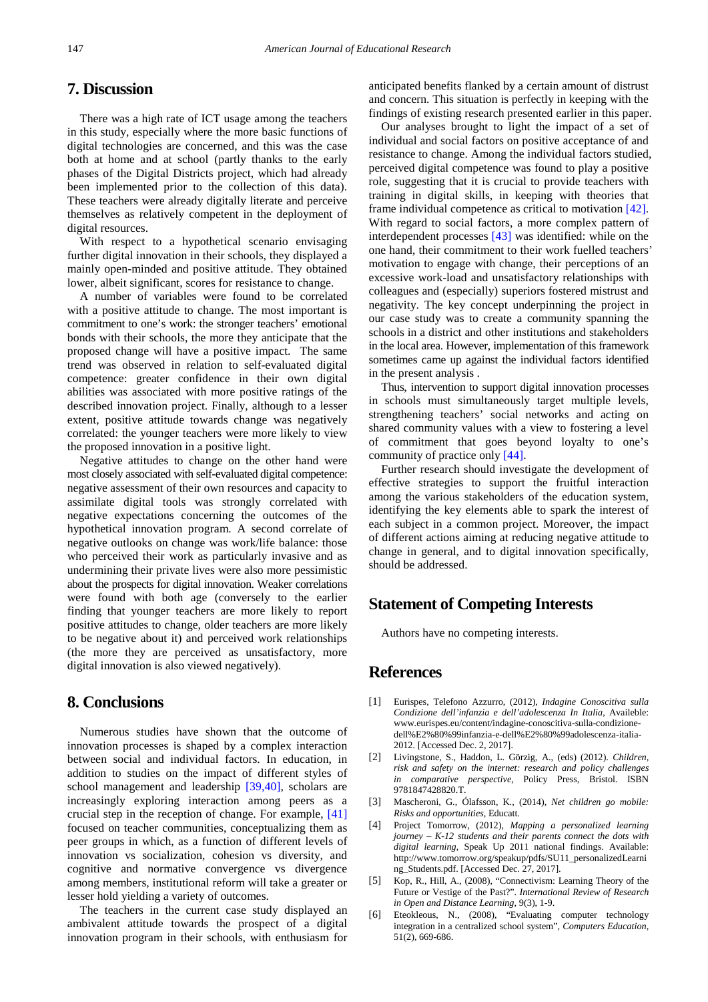# **7. Discussion**

There was a high rate of ICT usage among the teachers in this study, especially where the more basic functions of digital technologies are concerned, and this was the case both at home and at school (partly thanks to the early phases of the Digital Districts project, which had already been implemented prior to the collection of this data). These teachers were already digitally literate and perceive themselves as relatively competent in the deployment of digital resources.

With respect to a hypothetical scenario envisaging further digital innovation in their schools, they displayed a mainly open-minded and positive attitude. They obtained lower, albeit significant, scores for resistance to change.

A number of variables were found to be correlated with a positive attitude to change. The most important is commitment to one's work: the stronger teachers' emotional bonds with their schools, the more they anticipate that the proposed change will have a positive impact. The same trend was observed in relation to self-evaluated digital competence: greater confidence in their own digital abilities was associated with more positive ratings of the described innovation project. Finally, although to a lesser extent, positive attitude towards change was negatively correlated: the younger teachers were more likely to view the proposed innovation in a positive light.

Negative attitudes to change on the other hand were most closely associated with self-evaluated digital competence: negative assessment of their own resources and capacity to assimilate digital tools was strongly correlated with negative expectations concerning the outcomes of the hypothetical innovation program. A second correlate of negative outlooks on change was work/life balance: those who perceived their work as particularly invasive and as undermining their private lives were also more pessimistic about the prospects for digital innovation. Weaker correlations were found with both age (conversely to the earlier finding that younger teachers are more likely to report positive attitudes to change, older teachers are more likely to be negative about it) and perceived work relationships (the more they are perceived as unsatisfactory, more digital innovation is also viewed negatively).

## **8. Conclusions**

Numerous studies have shown that the outcome of innovation processes is shaped by a complex interaction between social and individual factors. In education, in addition to studies on the impact of different styles of school management and leadership [\[39,40\],](#page-6-30) scholars are increasingly exploring interaction among peers as a crucial step in the reception of change. For example, [\[41\]](#page-6-31) focused on teacher communities, conceptualizing them as peer groups in which, as a function of different levels of innovation vs socialization, cohesion vs diversity, and cognitive and normative convergence vs divergence among members, institutional reform will take a greater or lesser hold yielding a variety of outcomes.

The teachers in the current case study displayed an ambivalent attitude towards the prospect of a digital innovation program in their schools, with enthusiasm for anticipated benefits flanked by a certain amount of distrust and concern. This situation is perfectly in keeping with the findings of existing research presented earlier in this paper.

Our analyses brought to light the impact of a set of individual and social factors on positive acceptance of and resistance to change. Among the individual factors studied, perceived digital competence was found to play a positive role, suggesting that it is crucial to provide teachers with training in digital skills, in keeping with theories that frame individual competence as critical to motivation [\[42\].](#page-6-32) With regard to social factors, a more complex pattern of interdependent processes [\[43\]](#page-6-33) was identified: while on the one hand, their commitment to their work fuelled teachers' motivation to engage with change, their perceptions of an excessive work-load and unsatisfactory relationships with colleagues and (especially) superiors fostered mistrust and negativity. The key concept underpinning the project in our case study was to create a community spanning the schools in a district and other institutions and stakeholders in the local area. However, implementation of this framework sometimes came up against the individual factors identified in the present analysis .

Thus, intervention to support digital innovation processes in schools must simultaneously target multiple levels, strengthening teachers' social networks and acting on shared community values with a view to fostering a level of commitment that goes beyond loyalty to one's community of practice only [\[44\].](#page-6-34)

Further research should investigate the development of effective strategies to support the fruitful interaction among the various stakeholders of the education system, identifying the key elements able to spark the interest of each subject in a common project. Moreover, the impact of different actions aiming at reducing negative attitude to change in general, and to digital innovation specifically, should be addressed.

# **Statement of Competing Interests**

Authors have no competing interests.

## **References**

- <span id="page-5-0"></span>[1] Eurispes, Telefono Azzurro, (2012), *Indagine Conoscitiva sulla Condizione dell'infanzia e dell'adolescenza In Italia*, Availeble: www.eurispes.eu/content/indagine-conoscitiva-sulla-condizionedell%E2%80%99infanzia-e-dell%E2%80%99adolescenza-italia-2012. [Accessed Dec. 2, 2017].
- [2] Livingstone, S., Haddon, L. Görzig, A., (eds) (2012). *Children, risk and safety on the internet: research and policy challenges in comparative perspective*, Policy Press, Bristol. ISBN 9781847428820.T.
- <span id="page-5-1"></span>[3] Mascheroni, G., Ólafsson, K., (2014), *Net children go mobile: Risks and opportunities*, Educatt.
- <span id="page-5-2"></span>[4] Project Tomorrow, (2012), *Mapping a personalized learning journey – K-12 students and their parents connect the dots with digital learning*, Speak Up 2011 national findings. Available: http://www.tomorrow.org/speakup/pdfs/SU11\_personalizedLearni ng\_Students.pdf. [Accessed Dec. 27, 2017].
- <span id="page-5-3"></span>[5] Kop, R., Hill, A., (2008), "Connectivism: Learning Theory of the Future or Vestige of the Past?". *International Review of Research in Open and Distance Learning*, 9(3), 1-9.
- <span id="page-5-4"></span>[6] Eteokleous, N., (2008), "Evaluating computer technology integration in a centralized school system", *Computers Education*, 51(2), 669-686.